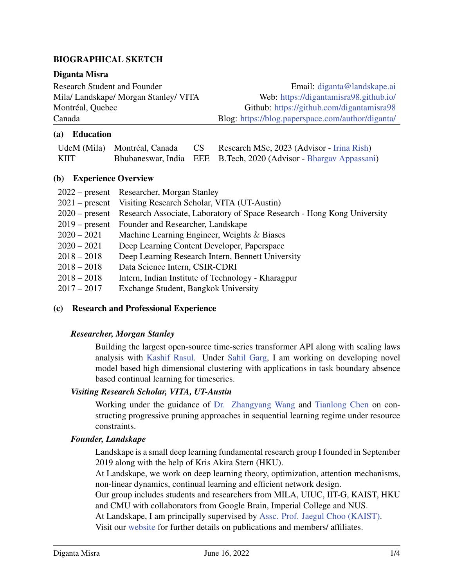# BIOGRAPHICAL SKETCH

### Diganta Misra

Research Student and Founder **Email:** [diganta@landskape.ai](mailto:diganta@landskape.ai) Mila/ Landskape/ Morgan Stanley/ VITA Web: <https://digantamisra98.github.io/> Montréal, Quebec Github: <https://github.com/digantamisra98> Canada Blog: <https://blog.paperspace.com/author/diganta/>

## (a) Education

|      |  | UdeM (Mila) Montréal, Canada CS Research MSc, 2023 (Advisor - Irina Rish) |
|------|--|---------------------------------------------------------------------------|
| KIIT |  | Bhubaneswar, India EEE B.Tech, 2020 (Advisor - Bhargav Appassani)         |

### (b) Experience Overview

|               | 2022 – present Researcher, Morgan Stanley                                              |
|---------------|----------------------------------------------------------------------------------------|
|               | 2021 – present Visiting Research Scholar, VITA (UT-Austin)                             |
|               | 2020 – present Research Associate, Laboratory of Space Research - Hong Kong University |
|               | 2019 – present Founder and Researcher, Landskape                                       |
| $2020 - 2021$ | Machine Learning Engineer, Weights $\&$ Biases                                         |
| $2020 - 2021$ | Deep Learning Content Developer, Paperspace                                            |
| $2018 - 2018$ | Deep Learning Research Intern, Bennett University                                      |
| $2018 - 2018$ | Data Science Intern, CSIR-CDRI                                                         |
| $2018 - 2018$ | Intern, Indian Institute of Technology - Kharagpur                                     |
| $2017 - 2017$ | Exchange Student, Bangkok University                                                   |

### (c) Research and Professional Experience

### *Researcher, Morgan Stanley*

Building the largest open-source time-series transformer API along with scaling laws analysis with [Kashif Rasul.](https://scholar.google.de/citations?user=cfIrwmAAAAAJ&hl=en) Under [Sahil Garg,](https://sgarg87.github.io/) I am working on developing novel model based high dimensional clustering with applications in task boundary absence based continual learning for timeseries.

### *Visiting Research Scholar, VITA, UT-Austin*

Working under the guidance of [Dr. Zhangyang Wang](https://spark.adobe.com/page/CAdrFMJ9QeI2y/) and [Tianlong Chen](https://tianlong-chen.github.io/about/) on constructing progressive pruning approaches in sequential learning regime under resource constraints.

### *Founder, Landskape*

Landskape is a small deep learning fundamental research group I founded in September 2019 along with the help of Kris Akira Stern (HKU).

At Landskape, we work on deep learning theory, optimization, attention mechanisms, non-linear dynamics, continual learning and efficient network design.

Our group includes students and researchers from MILA, UIUC, IIT-G, KAIST, HKU and CMU with collaborators from Google Brain, Imperial College and NUS.

At Landskape, I am principally supervised by [Assc. Prof. Jaegul Choo \(KAIST\).](https://sites.google.com/site/jaegulchoo/)

Visit our [website](https://landskape.ai) for further details on publications and members/ affiliates.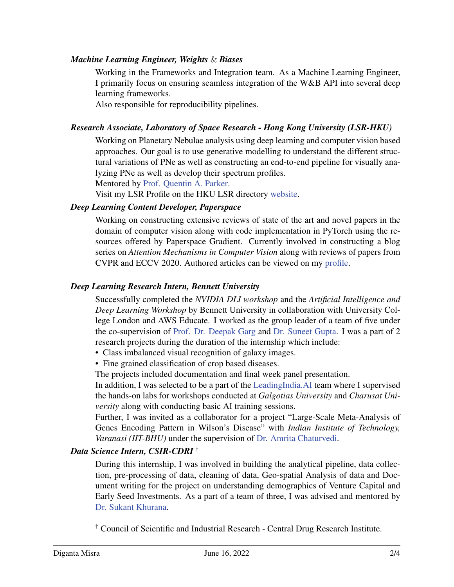## *Machine Learning Engineer, Weights* & *Biases*

Working in the Frameworks and Integration team. As a Machine Learning Engineer, I primarily focus on ensuring seamless integration of the W&B API into several deep learning frameworks.

Also responsible for reproducibility pipelines.

## *Research Associate, Laboratory of Space Research - Hong Kong University (LSR-HKU)*

Working on Planetary Nebulae analysis using deep learning and computer vision based approaches. Our goal is to use generative modelling to understand the different structural variations of PNe as well as constructing an end-to-end pipeline for visually analyzing PNe as well as develop their spectrum profiles.

Mentored by [Prof. Quentin A. Parker.](https://www.scifac.hku.hk/people/parker-quentin-a)

Visit my LSR Profile on the HKU LSR directory [website.](https://www.lsr.hku.hk/member/diganta-misra/)

### *Deep Learning Content Developer, Paperspace*

Working on constructing extensive reviews of state of the art and novel papers in the domain of computer vision along with code implementation in PyTorch using the resources offered by Paperspace Gradient. Currently involved in constructing a blog series on *Attention Mechanisms in Computer Vision* along with reviews of papers from CVPR and ECCV 2020. Authored articles can be viewed on my [profile.](https://blog.paperspace.com/author/diganta/)

## *Deep Learning Research Intern, Bennett University*

Successfully completed the *NVIDIA DLI workshop* and the *Artificial Intelligence and Deep Learning Workshop* by Bennett University in collaboration with University College London and AWS Educate. I worked as the group leader of a team of five under the co-supervision of [Prof. Dr. Deepak Garg](https://www.gdeepak.com/) and [Dr. Suneet Gupta.](https://sites.google.com/view/ksuneet/home) I was a part of 2 research projects during the duration of the internship which include:

- Class imbalanced visual recognition of galaxy images.
- Fine grained classification of crop based diseases.

The projects included documentation and final week panel presentation.

In addition, I was selected to be a part of the [LeadingIndia.AI](https://www.leadingindia.ai/) team where I supervised the hands-on labs for workshops conducted at *Galgotias University* and *Charusat University* along with conducting basic AI training sessions.

Further, I was invited as a collaborator for a project "Large-Scale Meta-Analysis of Genes Encoding Pattern in Wilson's Disease" with *Indian Institute of Technology, Varanasi (IIT-BHU)* under the supervision of [Dr. Amrita Chaturvedi.](https://sites.google.com/site/dramritachaturvedi/)

### *Data Science Intern, CSIR-CDRI* †

During this internship, I was involved in building the analytical pipeline, data collection, pre-processing of data, cleaning of data, Geo-spatial Analysis of data and Document writing for the project on understanding demographics of Venture Capital and Early Seed Investments. As a part of a team of three, I was advised and mentored by [Dr. Sukant Khurana.](http://brainnart.com/)

† Council of Scientific and Industrial Research - Central Drug Research Institute.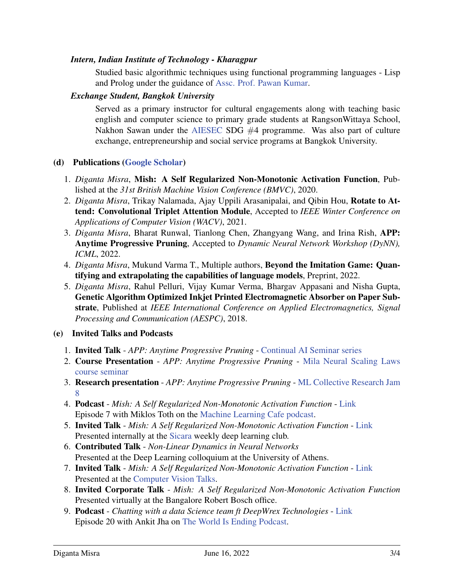## *Intern, Indian Institute of Technology - Kharagpur*

Studied basic algorithmic techniques using functional programming languages - Lisp and Prolog under the guidance of [Assc. Prof. Pawan Kumar.](http://www.iitkgp.ac.in/department/MA/faculty/ma-pawan#resp-tab1)

### *Exchange Student, Bangkok University*

Served as a primary instructor for cultural engagements along with teaching basic english and computer science to primary grade students at RangsonWittaya School, Nakhon Sawan under the [AIESEC](https://aiesec.org/) SDG  $#4$  programme. Was also part of culture exchange, entrepreneurship and social service programs at Bangkok University.

### (d) Publications [\(Google Scholar\)](https://scholar.google.com/citations?user=LwiJwNYAAAAJ&hl=en)

- 1. *Diganta Misra*, Mish: A Self Regularized Non-Monotonic Activation Function, Published at the *31st British Machine Vision Conference (BMVC)*, 2020.
- 2. *Diganta Misra*, Trikay Nalamada, Ajay Uppili Arasanipalai, and Qibin Hou, Rotate to Attend: Convolutional Triplet Attention Module, Accepted to *IEEE Winter Conference on Applications of Computer Vision (WACV)*, 2021.
- 3. *Diganta Misra*, Bharat Runwal, Tianlong Chen, Zhangyang Wang, and Irina Rish, APP: Anytime Progressive Pruning, Accepted to *Dynamic Neural Network Workshop (DyNN), ICML*, 2022.
- 4. *Diganta Misra*, Mukund Varma T., Multiple authors, Beyond the Imitation Game: Quantifying and extrapolating the capabilities of language models, Preprint, 2022.
- 5. *Diganta Misra*, Rahul Pelluri, Vijay Kumar Verma, Bhargav Appasani and Nisha Gupta, Genetic Algorithm Optimized Inkjet Printed Electromagnetic Absorber on Paper Substrate, Published at *IEEE International Conference on Applied Electromagnetics, Signal Processing and Communication (AESPC)*, 2018.

### (e) Invited Talks and Podcasts

- 1. Invited Talk *APP: Anytime Progressive Pruning* [Continual AI Seminar series](https://youtu.be/EZS2PzfyfXY)
- 2. Course Presentation *APP: Anytime Progressive Pruning* [Mila Neural Scaling Laws](https://bluejeans.com/playback/s/jFFH3X6y1UxAuLKW5kau2WRQHbMojKfpaySI6xGRQ56lqpaEmbdKsC9wBwWTJUag) [course seminar](https://bluejeans.com/playback/s/jFFH3X6y1UxAuLKW5kau2WRQHbMojKfpaySI6xGRQ56lqpaEmbdKsC9wBwWTJUag)
- 3. Research presentation *APP: Anytime Progressive Pruning* [ML Collective Research Jam](https://youtu.be/GbHpaqwkgxE?t=924) [8](https://youtu.be/GbHpaqwkgxE?t=924)
- 4. Podcast *Mish: A Self Regularized Non-Monotonic Activation Function* [Link](http://podcast.machinelearningcafe.org/mish-activation-function-with-diganta-misra-007) Episode 7 with Miklos Toth on the [Machine Learning Cafe podcast.](http://podcast.machinelearningcafe.org/)
- 5. Invited Talk *Mish: A Self Regularized Non-Monotonic Activation Function* [Link](https://www.youtube.com/watch?v=T2CRFROKcLM) Presented internally at the [Sicara](https://www.sicara.ai/) weekly deep learning club.
- 6. Contributed Talk *Non-Linear Dynamics in Neural Networks* Presented at the Deep Learning colloquium at the University of Athens.
- 7. Invited Talk *Mish: A Self Regularized Non-Monotonic Activation Function* [Link](https://www.youtube.com/watch?v=whOdg-yrgdI) Presented at the [Computer Vision Talks.](https://computervisiontalks.github.io/)
- 8. Invited Corporate Talk *Mish: A Self Regularized Non-Monotonic Activation Function* Presented virtually at the Bangalore Robert Bosch office.
- 9. Podcast *Chatting with a data Science team ft DeepWrex Technologies* [Link](https://anchor.fm/theworldisendingpodcast/episodes/Chatting-with-a-data-Science-team-ft-DeepWrex-Technologies-eco2u6) Episode 20 with Ankit Jha on [The World Is Ending Podcast.](https://anchor.fm/theworldisendingpodcast)